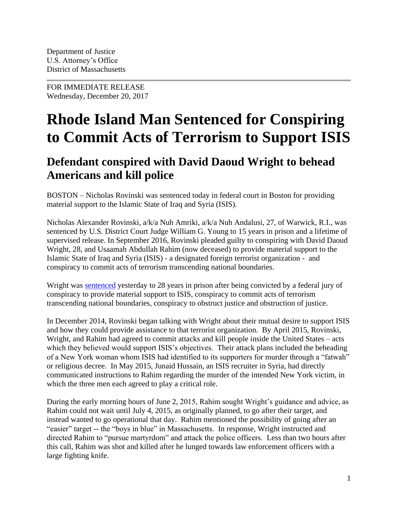FOR IMMEDIATE RELEASE Wednesday, December 20, 2017

## **Rhode Island Man Sentenced for Conspiring to Commit Acts of Terrorism to Support ISIS**

## **Defendant conspired with David Daoud Wright to behead Americans and kill police**

BOSTON – Nicholas Rovinski was sentenced today in federal court in Boston for providing material support to the Islamic State of Iraq and Syria (ISIS).

Nicholas Alexander Rovinski, a/k/a Nuh Amriki, a/k/a Nuh Andalusi, 27, of Warwick, R.I., was sentenced by U.S. District Court Judge William G. Young to 15 years in prison and a lifetime of supervised release. In September 2016, Rovinski pleaded guilty to conspiring with David Daoud Wright, 28, and Usaamah Abdullah Rahim (now deceased) to provide material support to the Islamic State of Iraq and Syria (ISIS) - a designated foreign terrorist organization - and conspiracy to commit acts of terrorism transcending national boundaries.

Wright was **sentenced** yesterday to 28 years in prison after being convicted by a federal jury of conspiracy to provide material support to ISIS, conspiracy to commit acts of terrorism transcending national boundaries, conspiracy to obstruct justice and obstruction of justice.

In December 2014, Rovinski began talking with Wright about their mutual desire to support ISIS and how they could provide assistance to that terrorist organization. By April 2015, Rovinski, Wright, and Rahim had agreed to commit attacks and kill people inside the United States – acts which they believed would support ISIS's objectives. Their attack plans included the beheading of a New York woman whom ISIS had identified to its supporters for murder through a "fatwah" or religious decree. In May 2015, Junaid Hussain, an ISIS recruiter in Syria, had directly communicated instructions to Rahim regarding the murder of the intended New York victim, in which the three men each agreed to play a critical role.

During the early morning hours of June 2, 2015, Rahim sought Wright's guidance and advice, as Rahim could not wait until July 4, 2015, as originally planned, to go after their target, and instead wanted to go operational that day. Rahim mentioned the possibility of going after an "easier" target -- the "boys in blue" in Massachusetts. In response, Wright instructed and directed Rahim to "pursue martyrdom" and attack the police officers. Less than two hours after this call, Rahim was shot and killed after he lunged towards law enforcement officers with a large fighting knife.